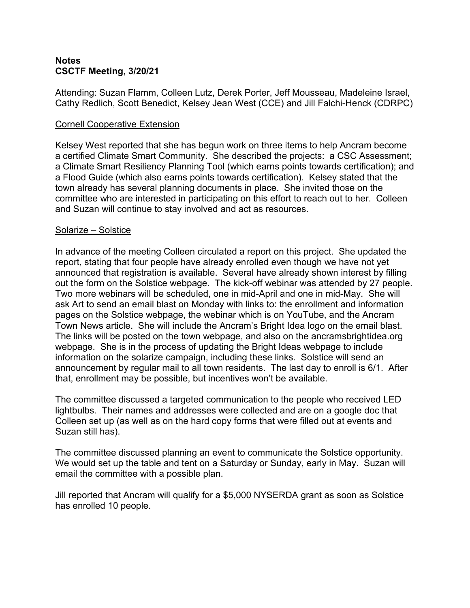## **Notes CSCTF Meeting, 3/20/21**

Attending: Suzan Flamm, Colleen Lutz, Derek Porter, Jeff Mousseau, Madeleine Israel, Cathy Redlich, Scott Benedict, Kelsey Jean West (CCE) and Jill Falchi-Henck (CDRPC)

## Cornell Cooperative Extension

Kelsey West reported that she has begun work on three items to help Ancram become a certified Climate Smart Community. She described the projects: a CSC Assessment; a Climate Smart Resiliency Planning Tool (which earns points towards certification); and a Flood Guide (which also earns points towards certification). Kelsey stated that the town already has several planning documents in place. She invited those on the committee who are interested in participating on this effort to reach out to her. Colleen and Suzan will continue to stay involved and act as resources.

## Solarize – Solstice

In advance of the meeting Colleen circulated a report on this project. She updated the report, stating that four people have already enrolled even though we have not yet announced that registration is available. Several have already shown interest by filling out the form on the Solstice webpage. The kick-off webinar was attended by 27 people. Two more webinars will be scheduled, one in mid-April and one in mid-May. She will ask Art to send an email blast on Monday with links to: the enrollment and information pages on the Solstice webpage, the webinar which is on YouTube, and the Ancram Town News article. She will include the Ancram's Bright Idea logo on the email blast.<br>The links will be posted on the town webpage, and also on the ancramsbrightidea.org webpage. She is in the process of updating the Bright Ideas webpage to include information on the solarize campaign, including these links. Solstice will send an announcement by regular mail to all town residents. The last day to enroll is 6/1. After that, enrollment may be possible, but incentives won't be available.

The committee discussed a targeted communication to the people who received LED lightbulbs. Their names and addresses were collected and are on a google doc that Colleen set up (as well as on the hard copy forms that were filled out at events and Suzan still has).

The committee discussed planning an event to communicate the Solstice opportunity. We would set up the table and tent on a Saturday or Sunday, early in May. Suzan will email the committee with a possible plan.

Jill reported that Ancram will qualify for a \$5,000 NYSERDA grant as soon as Solstice has enrolled 10 people.